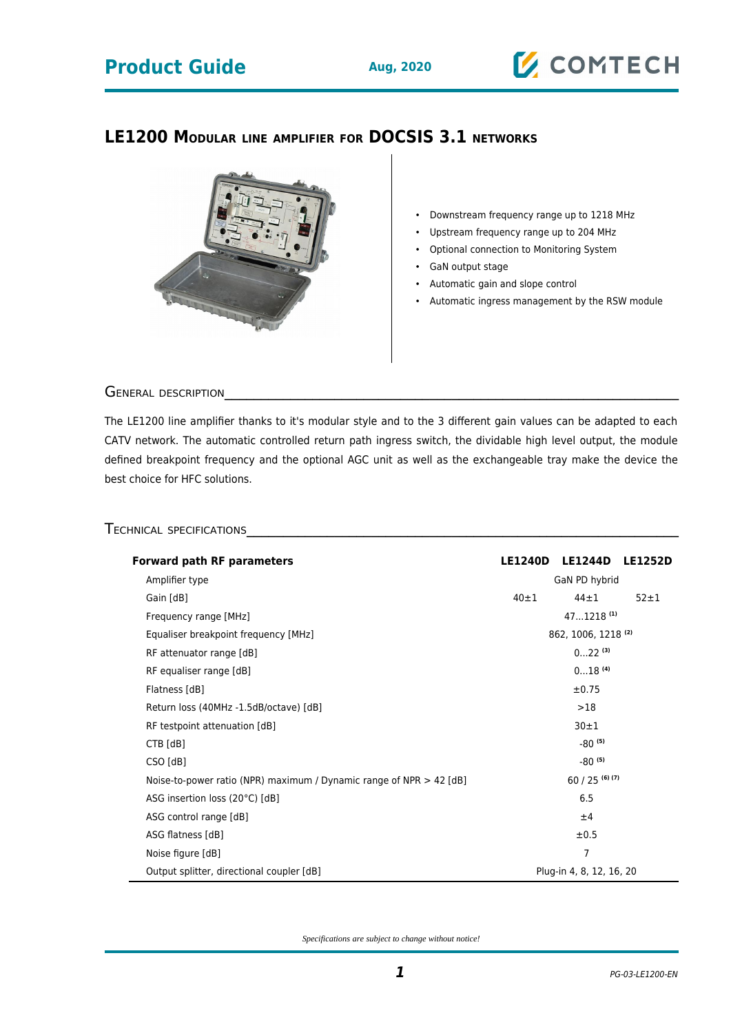## **Product Guide Aug, 2020**

# **Z COMTECH**

### **LE1200 MODULAR LINE AMPLIFIER FOR DOCSIS 3.1 NETWORKS**



- Downstream frequency range up to 1218 MHz
- Upstream frequency range up to 204 MHz
- Optional connection to Monitoring System
- GaN output stage
- Automatic gain and slope control
- Automatic ingress management by the RSW module

GENERAL DESCRIPTION

The LE1200 line amplifier thanks to it's modular style and to the 3 different gain values can be adapted to each CATV network. The automatic controlled return path ingress switch, the dividable high level output, the module defined breakpoint frequency and the optional AGC unit as well as the exchangeable tray make the device the best choice for HFC solutions.

### TECHNICAL SPECIFICATIONS

| <b>Forward path RF parameters</b>                                     |                                  | <b>LE1240D</b><br><b>LE1244D</b> | <b>LE1252D</b> |
|-----------------------------------------------------------------------|----------------------------------|----------------------------------|----------------|
| Amplifier type                                                        | GaN PD hybrid                    |                                  |                |
| Gain [dB]                                                             | $40 + 1$<br>$44 + 1$<br>$52 + 1$ |                                  |                |
| Frequency range [MHz]                                                 | $471218$ <sup>(1)</sup>          |                                  |                |
| Equaliser breakpoint frequency [MHz]                                  | 862, 1006, 1218 (2)              |                                  |                |
| RF attenuator range [dB]                                              | $022^{(3)}$                      |                                  |                |
| RF equaliser range [dB]                                               | $018$ <sup>(4)</sup>             |                                  |                |
| Flatness [dB]                                                         | $\pm 0.75$                       |                                  |                |
| Return loss (40MHz -1.5dB/octave) [dB]                                | >18                              |                                  |                |
| RF testpoint attenuation [dB]                                         | $30 + 1$                         |                                  |                |
| CTB [dB]                                                              | $-80^{(5)}$                      |                                  |                |
| CSO [dB]                                                              | $-80^{(5)}$                      |                                  |                |
| Noise-to-power ratio (NPR) maximum / Dynamic range of NPR $>$ 42 [dB] | $60/25$ (6)(7)                   |                                  |                |
| ASG insertion loss (20°C) [dB]                                        | 6.5                              |                                  |                |
| ASG control range [dB]                                                | ±4                               |                                  |                |
| ASG flatness [dB]                                                     | ±0.5                             |                                  |                |
| Noise figure [dB]                                                     | 7                                |                                  |                |
| Output splitter, directional coupler [dB]                             | Plug-in 4, 8, 12, 16, 20         |                                  |                |

*Specifications are subject to change without notice!*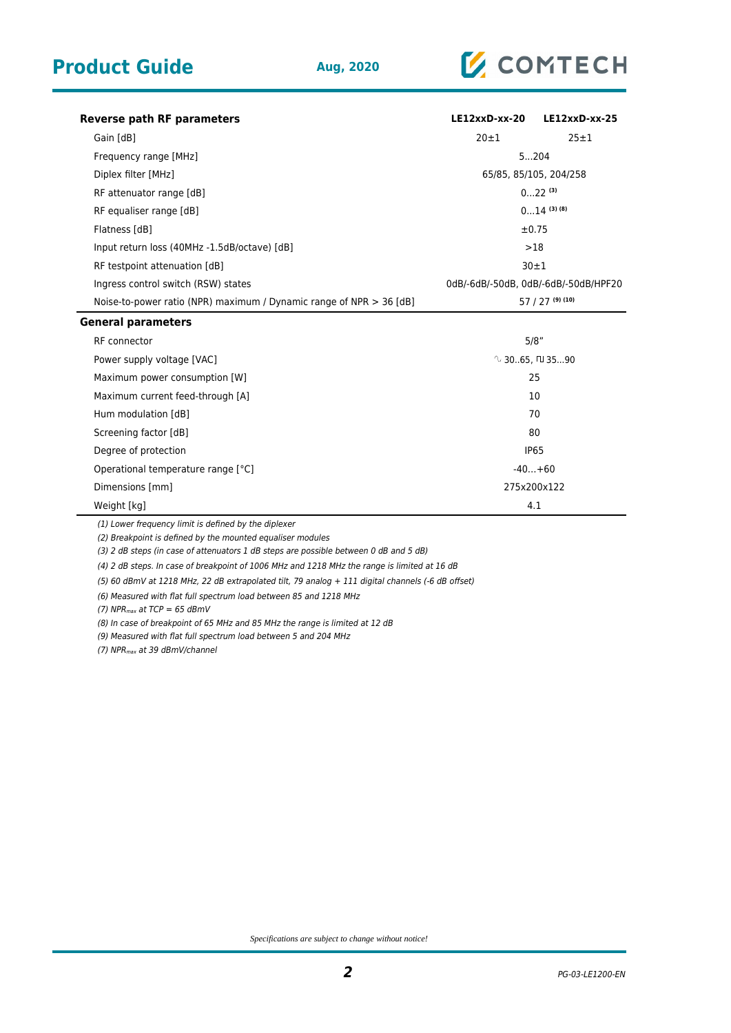

| Reverse path RF parameters                                            | $LE12xxD$ -xx-20                     | $LE12xxD$ -xx-25 |  |
|-----------------------------------------------------------------------|--------------------------------------|------------------|--|
| Gain [dB]                                                             | $20 + 1$                             | 25±1             |  |
| Frequency range [MHz]                                                 | 5204                                 |                  |  |
| Diplex filter [MHz]                                                   | 65/85, 85/105, 204/258               |                  |  |
| RF attenuator range [dB]                                              | $022^{(3)}$                          |                  |  |
| RF equaliser range [dB]                                               | $014$ (3) (8)                        |                  |  |
| Flatness [dB]                                                         | $\pm 0.75$                           |                  |  |
| Input return loss (40MHz -1.5dB/octave) [dB]                          | >18                                  |                  |  |
| RF testpoint attenuation [dB]                                         | 30±1                                 |                  |  |
| Ingress control switch (RSW) states                                   | 0dB/-6dB/-50dB, 0dB/-6dB/-50dB/HPF20 |                  |  |
| Noise-to-power ratio (NPR) maximum / Dynamic range of NPR $>$ 36 [dB] | $57/27$ (9) (10)                     |                  |  |
| <b>General parameters</b>                                             |                                      |                  |  |
| RF connector                                                          | 5/8"                                 |                  |  |
| Power supply voltage [VAC]                                            | $\sqrt{2}$ 3065. [U 3590]            |                  |  |
| Maximum power consumption [W]                                         | 25                                   |                  |  |
| Maximum current feed-through [A]                                      | 10                                   |                  |  |
| Hum modulation [dB]                                                   | 70                                   |                  |  |
| Screening factor [dB]                                                 | 80                                   |                  |  |
| Degree of protection                                                  | <b>IP65</b>                          |                  |  |
| Operational temperature range [°C]                                    | $-40+60$                             |                  |  |
| Dimensions [mm]                                                       | 275x200x122                          |                  |  |
| Weight [kg]                                                           | 4.1                                  |                  |  |

(1) Lower frequency limit is defined by the diplexer

(2) Breakpoint is defined by the mounted equaliser modules

(3) 2 dB steps (in case of attenuators 1 dB steps are possible between 0 dB and 5 dB)

(4) 2 dB steps. In case of breakpoint of 1006 MHz and 1218 MHz the range is limited at 16 dB

(5) 60 dBmV at 1218 MHz, 22 dB extrapolated tilt, 79 analog + 111 digital channels (-6 dB offset)

(6) Measured with flat full spectrum load between 85 and 1218 MHz

(7)  $NPR_{max}$  at TCP = 65 dBmV

(8) In case of breakpoint of 65 MHz and 85 MHz the range is limited at 12 dB

(9) Measured with flat full spectrum load between 5 and 204 MHz

(7) NPR<sub>max</sub> at 39 dBmV/channel

*Specifications are subject to change without notice!*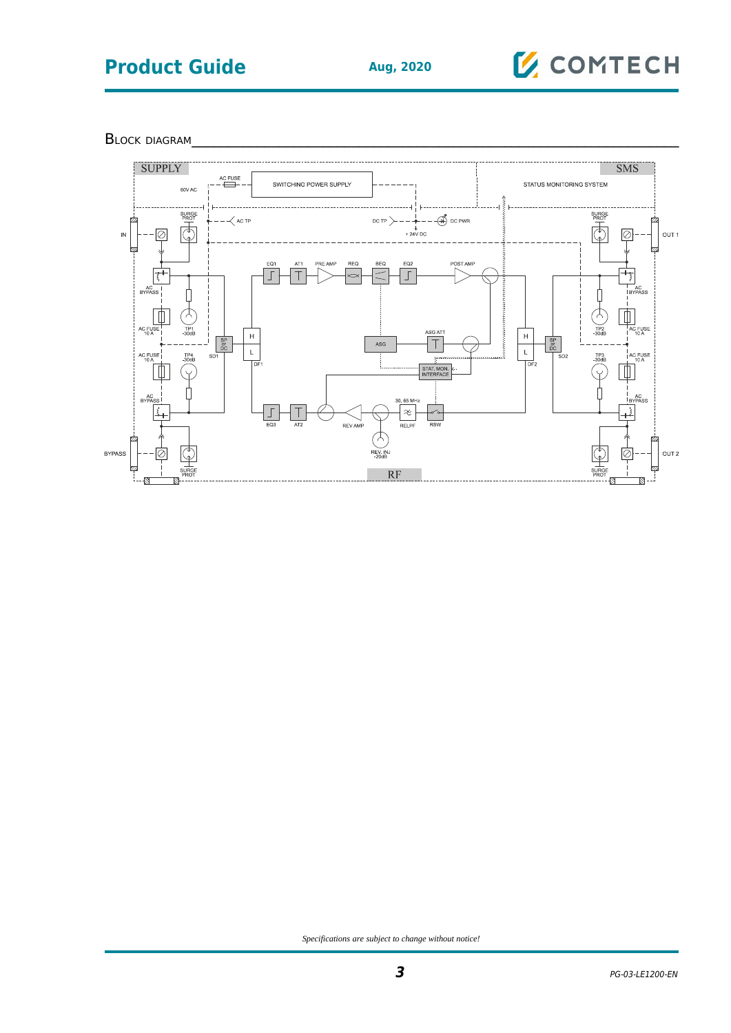## **Product Guide Aug, 2020**

# **E** COMTECH

BLOCK DIAGRAM